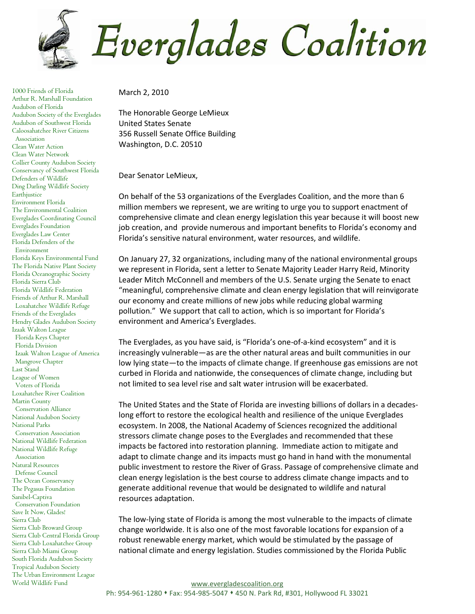**Everglades Coalition** 

1000 Friends of Florida Arthur R. Marshall Foundation Audubon of Florida Audubon Society of the Everglades Audubon of Southwest Florida Caloosahatchee River Citizens Association Clean Water Action Clean Water Network Collier County Audubon Society Conservancy of Southwest Florida Defenders of Wildlife Ding Darling Wildlife Society **Earthjustice** Environment Florida The Environmental Coalition Everglades Coordinating Council Everglades Foundation Everglades Law Center Florida Defenders of the Environment Florida Keys Environmental Fund The Florida Native Plant Society Florida Oceanographic Society Florida Sierra Club Florida Wildlife Federation Friends of Arthur R. Marshall Loxahatchee Wildlife Refuge Friends of the Everglades Hendry Glades Audubon Society Izaak Walton League Florida Keys Chapter Florida Division Izaak Walton League of America Mangrove Chapter Last Stand League of Women Voters of Florida Loxahatchee River Coalition Martin County Conservation Alliance National Audubon Society National Parks Conservation Association National Wildlife Federation National Wildlife Refuge Association Natural Resources Defense Council The Ocean Conservancy The Pegasus Foundation Sanibel-Captiva Conservation Foundation Save It Now, Glades! Sierra Club Sierra Club Broward Group Sierra Club Central Florida Group Sierra Club Loxahatchee Group Sierra Club Miami Group South Florida Audubon Society Tropical Audubon Society The Urban Environment League World Wildlife Fund

March 2, 2010

The Honorable George LeMieux United States Senate 356 Russell Senate Office Building Washington, D.C. 20510

Dear Senator LeMieux,

On behalf of the 53 organizations of the Everglades Coalition, and the more than 6 million members we represent, we are writing to urge you to support enactment of comprehensive climate and clean energy legislation this year because it will boost new job creation, and provide numerous and important benefits to Florida's economy and Florida's sensitive natural environment, water resources, and wildlife.

On January 27, 32 organizations, including many of the national environmental groups we represent in Florida, sent a letter to Senate Majority Leader Harry Reid, Minority Leader Mitch McConnell and members of the U.S. Senate urging the Senate to enact "meaningful, comprehensive climate and clean energy legislation that will reinvigorate our economy and create millions of new jobs while reducing global warming pollution." We support that call to action, which is so important for Florida's environment and America's Everglades.

The Everglades, as you have said, is "Florida's one-of-a-kind ecosystem" and it is increasingly vulnerable—as are the other natural areas and built communities in our low lying state—to the impacts of climate change. If greenhouse gas emissions are not curbed in Florida and nationwide, the consequences of climate change, including but not limited to sea level rise and salt water intrusion will be exacerbated.

The United States and the State of Florida are investing billions of dollars in a decadeslong effort to restore the ecological health and resilience of the unique Everglades ecosystem. In 2008, the National Academy of Sciences recognized the additional stressors climate change poses to the Everglades and recommended that these impacts be factored into restoration planning. Immediate action to mitigate and adapt to climate change and its impacts must go hand in hand with the monumental public investment to restore the River of Grass. Passage of comprehensive climate and clean energy legislation is the best course to address climate change impacts and to generate additional revenue that would be designated to wildlife and natural resources adaptation.

The low-lying state of Florida is among the most vulnerable to the impacts of climate change worldwide. It is also one of the most favorable locations for expansion of a robust renewable energy market, which would be stimulated by the passage of national climate and energy legislation. Studies commissioned by the Florida Public